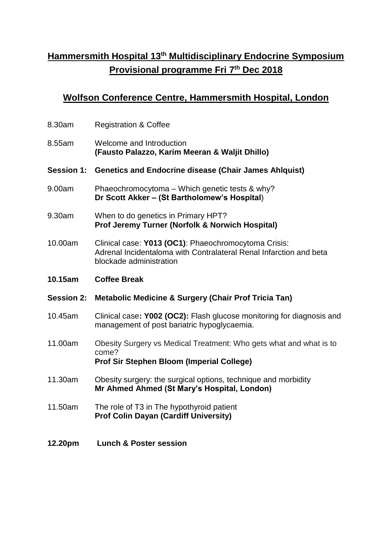## **Hammersmith Hospital 13 th Multidisciplinary Endocrine Symposium Provisional programme Fri 7 th Dec 2018**

## **Wolfson Conference Centre, Hammersmith Hospital, London**

| 8.30am            | <b>Registration &amp; Coffee</b>                                                                                                                      |
|-------------------|-------------------------------------------------------------------------------------------------------------------------------------------------------|
| 8.55am            | Welcome and Introduction<br>(Fausto Palazzo, Karim Meeran & Waljit Dhillo)                                                                            |
| <b>Session 1:</b> | <b>Genetics and Endocrine disease (Chair James Ahlquist)</b>                                                                                          |
| 9.00am            | Phaeochromocytoma - Which genetic tests & why?<br>Dr Scott Akker - (St Bartholomew's Hospital)                                                        |
| 9.30am            | When to do genetics in Primary HPT?<br>Prof Jeremy Turner (Norfolk & Norwich Hospital)                                                                |
| 10.00am           | Clinical case: Y013 (OC1): Phaeochromocytoma Crisis:<br>Adrenal Incidentaloma with Contralateral Renal Infarction and beta<br>blockade administration |
| 10.15am           | <b>Coffee Break</b>                                                                                                                                   |
|                   |                                                                                                                                                       |
| <b>Session 2:</b> | <b>Metabolic Medicine &amp; Surgery (Chair Prof Tricia Tan)</b>                                                                                       |
| 10.45am           | Clinical case: Y002 (OC2): Flash glucose monitoring for diagnosis and<br>management of post bariatric hypoglycaemia.                                  |
| 11.00am           | Obesity Surgery vs Medical Treatment: Who gets what and what is to<br>come?<br><b>Prof Sir Stephen Bloom (Imperial College)</b>                       |
| 11.30am           | Obesity surgery: the surgical options, technique and morbidity<br>Mr Ahmed Ahmed (St Mary's Hospital, London)                                         |
| 11.50am           | The role of T3 in The hypothyroid patient<br><b>Prof Colin Dayan (Cardiff University)</b>                                                             |